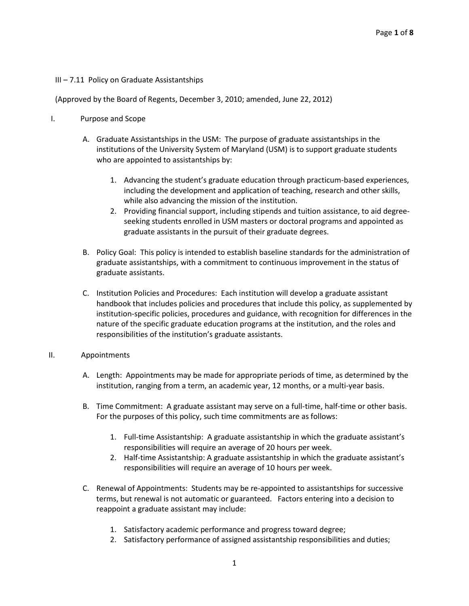### III – 7.11 Policy on Graduate Assistantships

### (Approved by the Board of Regents, December 3, 2010; amended, June 22, 2012)

- I. Purpose and Scope
	- A. Graduate Assistantships in the USM: The purpose of graduate assistantships in the institutions of the University System of Maryland (USM) is to support graduate students who are appointed to assistantships by:
		- 1. Advancing the student's graduate education through practicum-based experiences, including the development and application of teaching, research and other skills, while also advancing the mission of the institution.
		- 2. Providing financial support, including stipends and tuition assistance, to aid degreeseeking students enrolled in USM masters or doctoral programs and appointed as graduate assistants in the pursuit of their graduate degrees.
	- B. Policy Goal: This policy is intended to establish baseline standards for the administration of graduate assistantships, with a commitment to continuous improvement in the status of graduate assistants.
	- C. Institution Policies and Procedures: Each institution will develop a graduate assistant handbook that includes policies and procedures that include this policy, as supplemented by institution-specific policies, procedures and guidance, with recognition for differences in the nature of the specific graduate education programs at the institution, and the roles and responsibilities of the institution's graduate assistants.

#### II. Appointments

- A. Length: Appointments may be made for appropriate periods of time, as determined by the institution, ranging from a term, an academic year, 12 months, or a multi-year basis.
- B. Time Commitment: A graduate assistant may serve on a full-time, half-time or other basis. For the purposes of this policy, such time commitments are as follows:
	- 1. Full-time Assistantship: A graduate assistantship in which the graduate assistant's responsibilities will require an average of 20 hours per week.
	- 2. Half-time Assistantship: A graduate assistantship in which the graduate assistant's responsibilities will require an average of 10 hours per week.
- C. Renewal of Appointments: Students may be re-appointed to assistantships for successive terms, but renewal is not automatic or guaranteed. Factors entering into a decision to reappoint a graduate assistant may include:
	- 1. Satisfactory academic performance and progress toward degree;
	- 2. Satisfactory performance of assigned assistantship responsibilities and duties;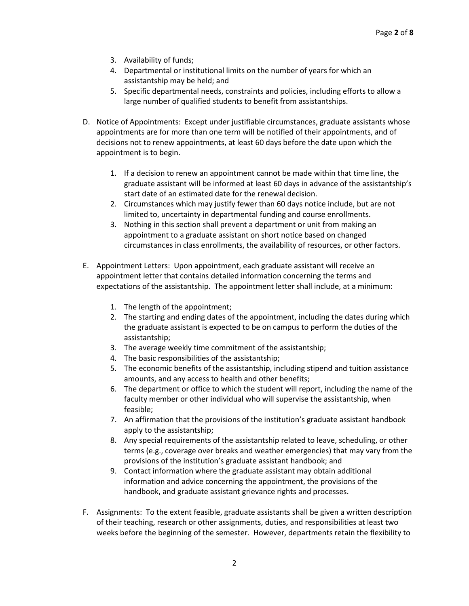- 3. Availability of funds;
- 4. Departmental or institutional limits on the number of years for which an assistantship may be held; and
- 5. Specific departmental needs, constraints and policies, including efforts to allow a large number of qualified students to benefit from assistantships.
- D. Notice of Appointments: Except under justifiable circumstances, graduate assistants whose appointments are for more than one term will be notified of their appointments, and of decisions not to renew appointments, at least 60 days before the date upon which the appointment is to begin.
	- 1. If a decision to renew an appointment cannot be made within that time line, the graduate assistant will be informed at least 60 days in advance of the assistantship's start date of an estimated date for the renewal decision.
	- 2. Circumstances which may justify fewer than 60 days notice include, but are not limited to, uncertainty in departmental funding and course enrollments.
	- 3. Nothing in this section shall prevent a department or unit from making an appointment to a graduate assistant on short notice based on changed circumstances in class enrollments, the availability of resources, or other factors.
- E. Appointment Letters: Upon appointment, each graduate assistant will receive an appointment letter that contains detailed information concerning the terms and expectations of the assistantship. The appointment letter shall include, at a minimum:
	- 1. The length of the appointment;
	- 2. The starting and ending dates of the appointment, including the dates during which the graduate assistant is expected to be on campus to perform the duties of the assistantship;
	- 3. The average weekly time commitment of the assistantship;
	- 4. The basic responsibilities of the assistantship;
	- 5. The economic benefits of the assistantship, including stipend and tuition assistance amounts, and any access to health and other benefits;
	- 6. The department or office to which the student will report, including the name of the faculty member or other individual who will supervise the assistantship, when feasible;
	- 7. An affirmation that the provisions of the institution's graduate assistant handbook apply to the assistantship;
	- 8. Any special requirements of the assistantship related to leave, scheduling, or other terms (e.g., coverage over breaks and weather emergencies) that may vary from the provisions of the institution's graduate assistant handbook; and
	- 9. Contact information where the graduate assistant may obtain additional information and advice concerning the appointment, the provisions of the handbook, and graduate assistant grievance rights and processes.
- F. Assignments: To the extent feasible, graduate assistants shall be given a written description of their teaching, research or other assignments, duties, and responsibilities at least two weeks before the beginning of the semester. However, departments retain the flexibility to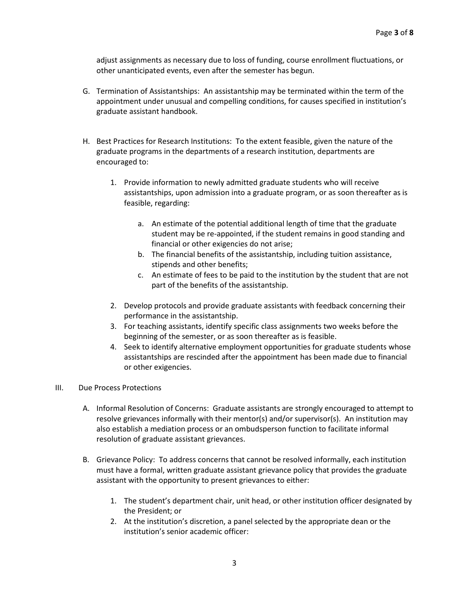adjust assignments as necessary due to loss of funding, course enrollment fluctuations, or other unanticipated events, even after the semester has begun.

- G. Termination of Assistantships: An assistantship may be terminated within the term of the appointment under unusual and compelling conditions, for causes specified in institution's graduate assistant handbook.
- H. Best Practices for Research Institutions: To the extent feasible, given the nature of the graduate programs in the departments of a research institution, departments are encouraged to:
	- 1. Provide information to newly admitted graduate students who will receive assistantships, upon admission into a graduate program, or as soon thereafter as is feasible, regarding:
		- a. An estimate of the potential additional length of time that the graduate student may be re-appointed, if the student remains in good standing and financial or other exigencies do not arise;
		- b. The financial benefits of the assistantship, including tuition assistance, stipends and other benefits;
		- c. An estimate of fees to be paid to the institution by the student that are not part of the benefits of the assistantship.
	- 2. Develop protocols and provide graduate assistants with feedback concerning their performance in the assistantship.
	- 3. For teaching assistants, identify specific class assignments two weeks before the beginning of the semester, or as soon thereafter as is feasible.
	- 4. Seek to identify alternative employment opportunities for graduate students whose assistantships are rescinded after the appointment has been made due to financial or other exigencies.

# III. Due Process Protections

- A. Informal Resolution of Concerns: Graduate assistants are strongly encouraged to attempt to resolve grievances informally with their mentor(s) and/or supervisor(s). An institution may also establish a mediation process or an ombudsperson function to facilitate informal resolution of graduate assistant grievances.
- B. Grievance Policy: To address concerns that cannot be resolved informally, each institution must have a formal, written graduate assistant grievance policy that provides the graduate assistant with the opportunity to present grievances to either:
	- 1. The student's department chair, unit head, or other institution officer designated by the President; or
	- 2. At the institution's discretion, a panel selected by the appropriate dean or the institution's senior academic officer: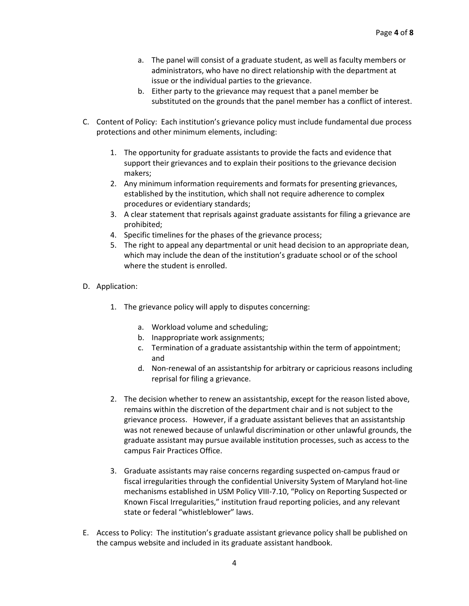- a. The panel will consist of a graduate student, as well as faculty members or administrators, who have no direct relationship with the department at issue or the individual parties to the grievance.
- b. Either party to the grievance may request that a panel member be substituted on the grounds that the panel member has a conflict of interest.
- C. Content of Policy: Each institution's grievance policy must include fundamental due process protections and other minimum elements, including:
	- 1. The opportunity for graduate assistants to provide the facts and evidence that support their grievances and to explain their positions to the grievance decision makers;
	- 2. Any minimum information requirements and formats for presenting grievances, established by the institution, which shall not require adherence to complex procedures or evidentiary standards;
	- 3. A clear statement that reprisals against graduate assistants for filing a grievance are prohibited;
	- 4. Specific timelines for the phases of the grievance process;
	- 5. The right to appeal any departmental or unit head decision to an appropriate dean, which may include the dean of the institution's graduate school or of the school where the student is enrolled.
- D. Application:
	- 1. The grievance policy will apply to disputes concerning:
		- a. Workload volume and scheduling;
		- b. Inappropriate work assignments;
		- c. Termination of a graduate assistantship within the term of appointment; and
		- d. Non-renewal of an assistantship for arbitrary or capricious reasons including reprisal for filing a grievance.
	- 2. The decision whether to renew an assistantship, except for the reason listed above, remains within the discretion of the department chair and is not subject to the grievance process. However, if a graduate assistant believes that an assistantship was not renewed because of unlawful discrimination or other unlawful grounds, the graduate assistant may pursue available institution processes, such as access to the campus Fair Practices Office.
	- 3. Graduate assistants may raise concerns regarding suspected on-campus fraud or fiscal irregularities through the confidential University System of Maryland hot-line mechanisms established in USM Policy VIII-7.10, "Policy on Reporting Suspected or Known Fiscal Irregularities," institution fraud reporting policies, and any relevant state or federal "whistleblower" laws.
- E. Access to Policy: The institution's graduate assistant grievance policy shall be published on the campus website and included in its graduate assistant handbook.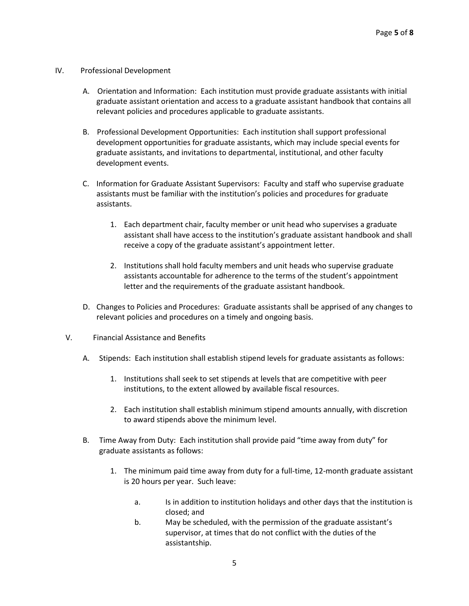#### IV. Professional Development

- A. Orientation and Information: Each institution must provide graduate assistants with initial graduate assistant orientation and access to a graduate assistant handbook that contains all relevant policies and procedures applicable to graduate assistants.
- B. Professional Development Opportunities: Each institution shall support professional development opportunities for graduate assistants, which may include special events for graduate assistants, and invitations to departmental, institutional, and other faculty development events.
- C. Information for Graduate Assistant Supervisors: Faculty and staff who supervise graduate assistants must be familiar with the institution's policies and procedures for graduate assistants.
	- 1. Each department chair, faculty member or unit head who supervises a graduate assistant shall have access to the institution's graduate assistant handbook and shall receive a copy of the graduate assistant's appointment letter.
	- 2. Institutions shall hold faculty members and unit heads who supervise graduate assistants accountable for adherence to the terms of the student's appointment letter and the requirements of the graduate assistant handbook.
- D. Changes to Policies and Procedures: Graduate assistants shall be apprised of any changes to relevant policies and procedures on a timely and ongoing basis.
- V. Financial Assistance and Benefits
	- A. Stipends: Each institution shall establish stipend levels for graduate assistants as follows:
		- 1. Institutions shall seek to set stipends at levels that are competitive with peer institutions, to the extent allowed by available fiscal resources.
		- 2. Each institution shall establish minimum stipend amounts annually, with discretion to award stipends above the minimum level.
	- B. Time Away from Duty: Each institution shall provide paid "time away from duty" for graduate assistants as follows:
		- 1. The minimum paid time away from duty for a full-time, 12-month graduate assistant is 20 hours per year. Such leave:
			- a. Is in addition to institution holidays and other days that the institution is closed; and
			- b. May be scheduled, with the permission of the graduate assistant's supervisor, at times that do not conflict with the duties of the assistantship.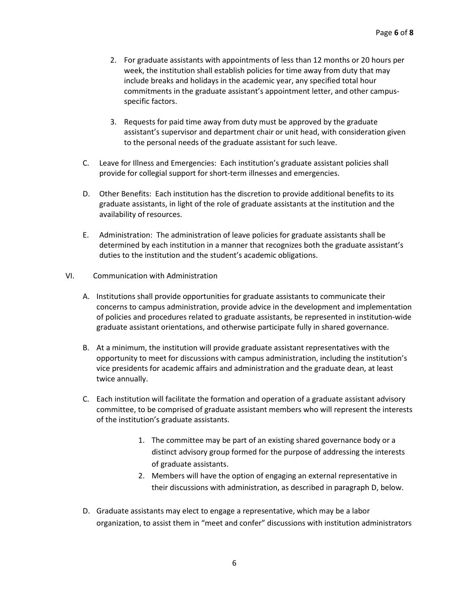- 2. For graduate assistants with appointments of less than 12 months or 20 hours per week, the institution shall establish policies for time away from duty that may include breaks and holidays in the academic year, any specified total hour commitments in the graduate assistant's appointment letter, and other campusspecific factors.
- 3. Requests for paid time away from duty must be approved by the graduate assistant's supervisor and department chair or unit head, with consideration given to the personal needs of the graduate assistant for such leave.
- C. Leave for Illness and Emergencies: Each institution's graduate assistant policies shall provide for collegial support for short-term illnesses and emergencies.
- D. Other Benefits: Each institution has the discretion to provide additional benefits to its graduate assistants, in light of the role of graduate assistants at the institution and the availability of resources.
- E. Administration: The administration of leave policies for graduate assistants shall be determined by each institution in a manner that recognizes both the graduate assistant's duties to the institution and the student's academic obligations.
- VI. Communication with Administration
	- A. Institutions shall provide opportunities for graduate assistants to communicate their concerns to campus administration, provide advice in the development and implementation of policies and procedures related to graduate assistants, be represented in institution-wide graduate assistant orientations, and otherwise participate fully in shared governance.
	- B. At a minimum, the institution will provide graduate assistant representatives with the opportunity to meet for discussions with campus administration, including the institution's vice presidents for academic affairs and administration and the graduate dean, at least twice annually.
	- C. Each institution will facilitate the formation and operation of a graduate assistant advisory committee, to be comprised of graduate assistant members who will represent the interests of the institution's graduate assistants.
		- 1. The committee may be part of an existing shared governance body or a distinct advisory group formed for the purpose of addressing the interests of graduate assistants.
		- 2. Members will have the option of engaging an external representative in their discussions with administration, as described in paragraph D, below.
	- D. Graduate assistants may elect to engage a representative, which may be a labor organization, to assist them in "meet and confer" discussions with institution administrators